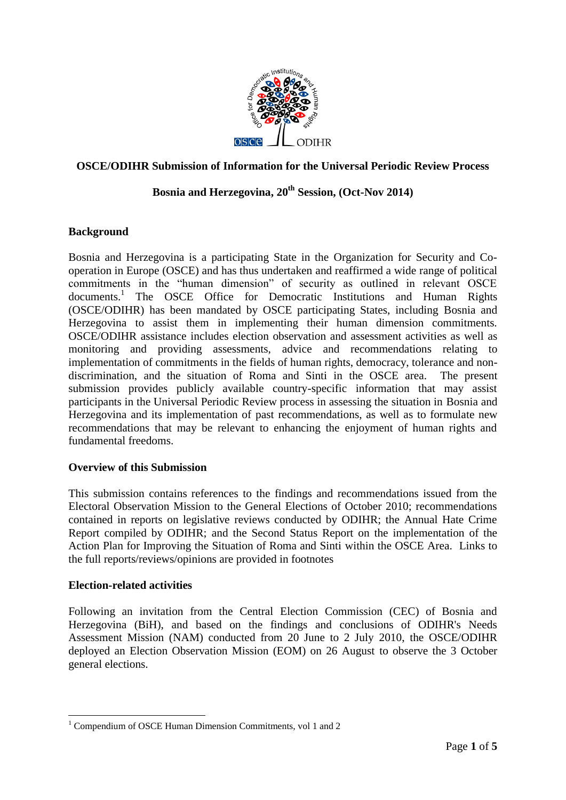

## **OSCE/ODIHR Submission of Information for the Universal Periodic Review Process**

# **Bosnia and Herzegovina, 20th Session, (Oct-Nov 2014)**

## **Background**

Bosnia and Herzegovina is a participating State in the Organization for Security and Cooperation in Europe (OSCE) and has thus undertaken and reaffirmed a wide range of political commitments in the "human dimension" of security as outlined in relevant OSCE documents.<sup>1</sup> The OSCE Office for Democratic Institutions and Human Rights (OSCE/ODIHR) has been mandated by OSCE participating States, including Bosnia and Herzegovina to assist them in implementing their human dimension commitments. OSCE/ODIHR assistance includes election observation and assessment activities as well as monitoring and providing assessments, advice and recommendations relating to implementation of commitments in the fields of human rights, democracy, tolerance and nondiscrimination, and the situation of Roma and Sinti in the OSCE area. The present submission provides publicly available country-specific information that may assist participants in the Universal Periodic Review process in assessing the situation in Bosnia and Herzegovina and its implementation of past recommendations, as well as to formulate new recommendations that may be relevant to enhancing the enjoyment of human rights and fundamental freedoms.

### **Overview of this Submission**

This submission contains references to the findings and recommendations issued from the Electoral Observation Mission to the General Elections of October 2010; recommendations contained in reports on legislative reviews conducted by ODIHR; the Annual Hate Crime Report compiled by ODIHR; and the Second Status Report on the implementation of the Action Plan for Improving the Situation of Roma and Sinti within the OSCE Area. Links to the full reports/reviews/opinions are provided in footnotes

### **Election-related activities**

<u>.</u>

Following an invitation from the Central Election Commission (CEC) of Bosnia and Herzegovina (BiH), and based on the findings and conclusions of ODIHR's Needs Assessment Mission (NAM) conducted from 20 June to 2 July 2010, the OSCE/ODIHR deployed an Election Observation Mission (EOM) on 26 August to observe the 3 October general elections.

<sup>&</sup>lt;sup>1</sup> Compendium of OSCE Human Dimension Commitments, vol 1 and 2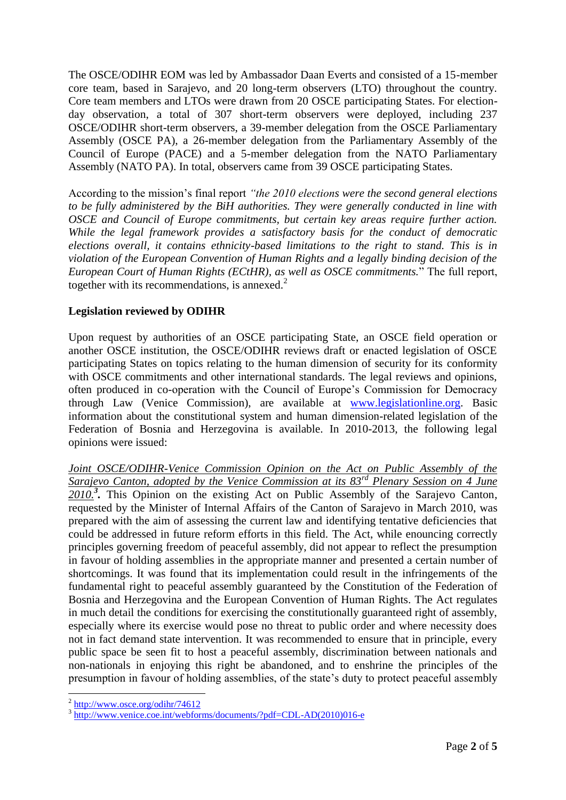The OSCE/ODIHR EOM was led by Ambassador Daan Everts and consisted of a 15-member core team, based in Sarajevo, and 20 long-term observers (LTO) throughout the country. Core team members and LTOs were drawn from 20 OSCE participating States. For electionday observation, a total of 307 short-term observers were deployed, including 237 OSCE/ODIHR short-term observers, a 39-member delegation from the OSCE Parliamentary Assembly (OSCE PA), a 26-member delegation from the Parliamentary Assembly of the Council of Europe (PACE) and a 5-member delegation from the NATO Parliamentary Assembly (NATO PA). In total, observers came from 39 OSCE participating States.

According to the mission's final report *"the 2010 elections were the second general elections to be fully administered by the BiH authorities. They were generally conducted in line with OSCE and Council of Europe commitments, but certain key areas require further action. While the legal framework provides a satisfactory basis for the conduct of democratic elections overall, it contains ethnicity-based limitations to the right to stand. This is in violation of the European Convention of Human Rights and a legally binding decision of the European Court of Human Rights (ECtHR), as well as OSCE commitments.*" The full report, together with its recommendations, is annexed. $2$ 

### **Legislation reviewed by ODIHR**

Upon request by authorities of an OSCE participating State, an OSCE field operation or another OSCE institution, the OSCE/ODIHR reviews draft or enacted legislation of OSCE participating States on topics relating to the human dimension of security for its conformity with OSCE commitments and other international standards. The legal reviews and opinions, often produced in co-operation with the Council of Europe's Commission for Democracy through Law (Venice Commission), are available at [www.legislationline.org.](http://www.legislationline.org/) Basic information about the constitutional system and human dimension-related legislation of the Federation of Bosnia and Herzegovina is available. In 2010-2013, the following legal opinions were issued:

*Joint OSCE/ODIHR-Venice Commission Opinion on the Act on Public Assembly of the Sarajevo Canton, adopted by the Venice Commission at its 83rd Plenary Session on 4 June 2010.<sup>3</sup> .* This Opinion on the existing Act on Public Assembly of the Sarajevo Canton, requested by the Minister of Internal Affairs of the Canton of Sarajevo in March 2010, was prepared with the aim of assessing the current law and identifying tentative deficiencies that could be addressed in future reform efforts in this field. The Act, while enouncing correctly principles governing freedom of peaceful assembly, did not appear to reflect the presumption in favour of holding assemblies in the appropriate manner and presented a certain number of shortcomings. It was found that its implementation could result in the infringements of the fundamental right to peaceful assembly guaranteed by the Constitution of the Federation of Bosnia and Herzegovina and the European Convention of Human Rights. The Act regulates in much detail the conditions for exercising the constitutionally guaranteed right of assembly, especially where its exercise would pose no threat to public order and where necessity does not in fact demand state intervention. It was recommended to ensure that in principle, every public space be seen fit to host a peaceful assembly, discrimination between nationals and non-nationals in enjoying this right be abandoned, and to enshrine the principles of the presumption in favour of holding assemblies, of the state's duty to protect peaceful assembly

1

 $\frac{2 \text{ http://www.osce.org/odihr/74612}}{2}$ 

<sup>&</sup>lt;sup>3</sup>[http://www.venice.coe.int/webforms/documents/?pdf=CDL-AD\(2010\)016-e](http://www.venice.coe.int/webforms/documents/?pdf=CDL-AD(2010)016-e)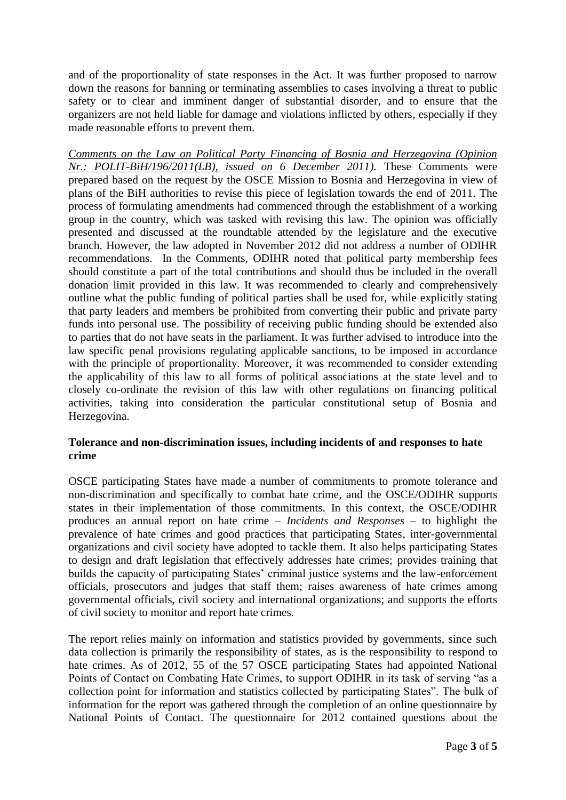and of the proportionality of state responses in the Act. It was further proposed to narrow down the reasons for banning or terminating assemblies to cases involving a threat to public safety or to clear and imminent danger of substantial disorder, and to ensure that the organizers are not held liable for damage and violations inflicted by others, especially if they made reasonable efforts to prevent them.

*Comments on the Law on Political Party Financing of Bosnia and Herzegovina (Opinion Nr.: POLIT-BiH/196/2011(LB), issued on 6 December 2011).* These Comments were prepared based on the request by the OSCE Mission to Bosnia and Herzegovina in view of plans of the BiH authorities to revise this piece of legislation towards the end of 2011. The process of formulating amendments had commenced through the establishment of a working group in the country, which was tasked with revising this law. The opinion was officially presented and discussed at the roundtable attended by the legislature and the executive branch. However, the law adopted in November 2012 did not address a number of ODIHR recommendations. In the Comments, ODIHR noted that political party membership fees should constitute a part of the total contributions and should thus be included in the overall donation limit provided in this law. It was recommended to clearly and comprehensively outline what the public funding of political parties shall be used for, while explicitly stating that party leaders and members be prohibited from converting their public and private party funds into personal use. The possibility of receiving public funding should be extended also to parties that do not have seats in the parliament. It was further advised to introduce into the law specific penal provisions regulating applicable sanctions, to be imposed in accordance with the principle of proportionality. Moreover, it was recommended to consider extending the applicability of this law to all forms of political associations at the state level and to closely co-ordinate the revision of this law with other regulations on financing political activities, taking into consideration the particular constitutional setup of Bosnia and Herzegovina.

## **Tolerance and non-discrimination issues, including incidents of and responses to hate crime**

OSCE participating States have made a number of commitments to promote tolerance and non-discrimination and specifically to combat hate crime, and the OSCE/ODIHR supports states in their implementation of those commitments. In this context, the OSCE/ODIHR produces an annual report on hate crime – *Incidents and Responses* – to highlight the prevalence of hate crimes and good practices that participating States, inter-governmental organizations and civil society have adopted to tackle them. It also helps participating States to design and draft legislation that effectively addresses hate crimes; provides training that builds the capacity of participating States' criminal justice systems and the law-enforcement officials, prosecutors and judges that staff them; raises awareness of hate crimes among governmental officials, civil society and international organizations; and supports the efforts of civil society to monitor and report hate crimes.

The report relies mainly on information and statistics provided by governments, since such data collection is primarily the responsibility of states, as is the responsibility to respond to hate crimes. As of 2012, 55 of the 57 OSCE participating States had appointed National Points of Contact on Combating Hate Crimes, to support ODIHR in its task of serving "as a collection point for information and statistics collected by participating States". The bulk of information for the report was gathered through the completion of an online questionnaire by National Points of Contact. The questionnaire for 2012 contained questions about the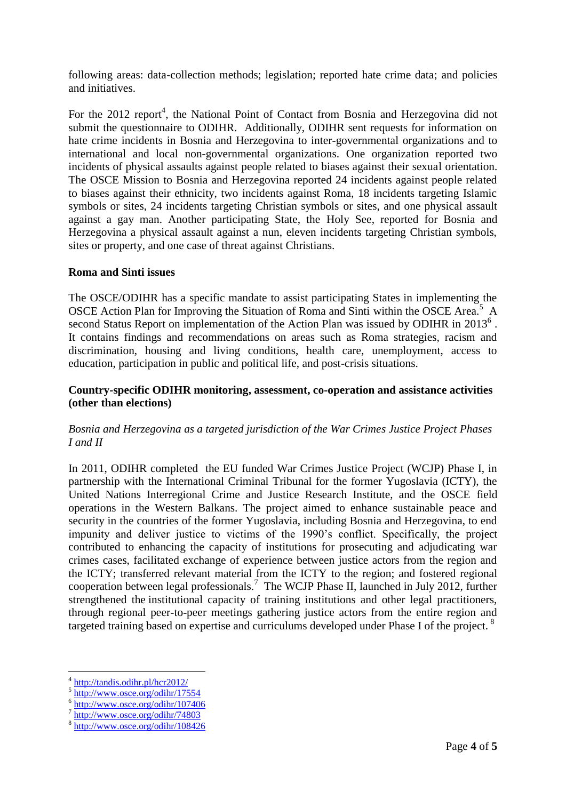following areas: data-collection methods; legislation; reported hate crime data; and policies and initiatives.

For the 2012 report<sup>4</sup>, the National Point of Contact from Bosnia and Herzegovina did not submit the questionnaire to ODIHR. Additionally, ODIHR sent requests for information on hate crime incidents in Bosnia and Herzegovina to inter-governmental organizations and to international and local non-governmental organizations. One organization reported two incidents of physical assaults against people related to biases against their sexual orientation. The OSCE Mission to Bosnia and Herzegovina reported 24 incidents against people related to biases against their ethnicity, two incidents against Roma, 18 incidents targeting Islamic symbols or sites, 24 incidents targeting Christian symbols or sites, and one physical assault against a gay man. Another participating State, the Holy See, reported for Bosnia and Herzegovina a physical assault against a nun, eleven incidents targeting Christian symbols, sites or property, and one case of threat against Christians.

### **Roma and Sinti issues**

The OSCE/ODIHR has a specific mandate to assist participating States in implementing the OSCE Action Plan for Improving the Situation of Roma and Sinti within the OSCE Area.<sup>5</sup> A second Status Report on implementation of the Action Plan was issued by ODIHR in 2013<sup>6</sup>. It contains findings and recommendations on areas such as Roma strategies, racism and discrimination, housing and living conditions, health care, unemployment, access to education, participation in public and political life, and post-crisis situations.

### **Country-specific ODIHR monitoring, assessment, co-operation and assistance activities (other than elections)**

## *Bosnia and Herzegovina as a targeted jurisdiction of the War Crimes Justice Project Phases I and II*

In 2011, ODIHR completed the EU funded War Crimes Justice Project (WCJP) Phase I, in partnership with the International Criminal Tribunal for the former Yugoslavia (ICTY), the United Nations Interregional Crime and Justice Research Institute, and the OSCE field operations in the Western Balkans. The project aimed to enhance sustainable peace and security in the countries of the former Yugoslavia, including Bosnia and Herzegovina, to end impunity and deliver justice to victims of the 1990's conflict. Specifically, the project contributed to enhancing the capacity of institutions for prosecuting and adjudicating war crimes cases, facilitated exchange of experience between justice actors from the region and the ICTY; transferred relevant material from the ICTY to the region; and fostered regional cooperation between legal professionals.<sup>7</sup> The WCJP Phase II, launched in July 2012, further strengthened the institutional capacity of training institutions and other legal practitioners, through regional peer-to-peer meetings gathering justice actors from the entire region and targeted training based on expertise and curriculums developed under Phase I of the project.<sup>8</sup>

1

<sup>4</sup> <http://tandis.odihr.pl/hcr2012/>

<sup>5</sup> <http://www.osce.org/odihr/17554>

 $\frac{6 \text{ http://www.osce.org/odihr/107406}}{7 \text{ http://www.osce.org/odihr/74903}}$  $\frac{6 \text{ http://www.osce.org/odihr/107406}}{7 \text{ http://www.osce.org/odihr/74903}}$  $\frac{6 \text{ http://www.osce.org/odihr/107406}}{7 \text{ http://www.osce.org/odihr/74903}}$ 

<http://www.osce.org/odihr/74803>

<sup>8</sup> <http://www.osce.org/odihr/108426>